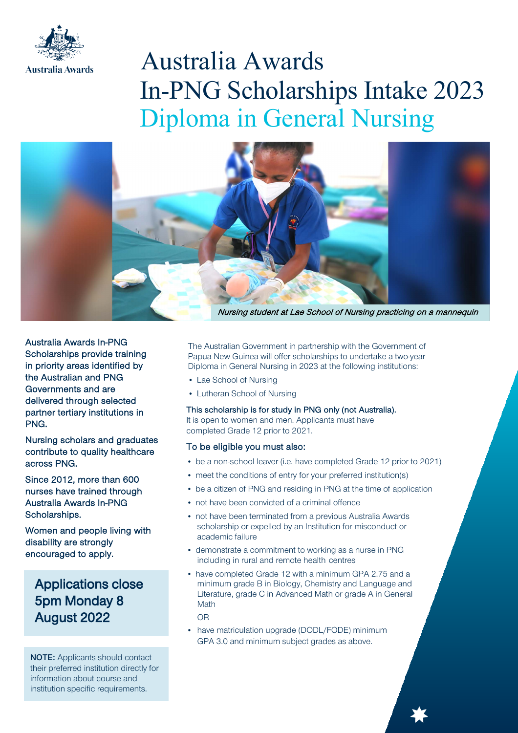

# Australia Awards In-PNG Scholarships Intake 2023 Diploma in General Nursing



Australia Awards In-PNG Scholarships provide training in priority areas identified by the Australian and PNG Governments and are delivered through selected partner tertiary institutions in PNG.

Nursing scholars and graduates contribute to quality healthcare across PNG.

Since 2012, more than 600 nurses have trained through Australia Awards In-PNG Scholarships.

Women and people living with disability are strongly encouraged to apply.

Applications close 5pm Monday 8 August 2022

NOTE: Applicants should contact their preferred institution directly for information about course and institution specific requirements.

The Australian Government in partnership with the Government of Papua New Guinea will offer scholarships to undertake a two-year Diploma in General Nursing in 2023 at the following institutions:

- Lae School of Nursing
- Lutheran School of Nursing

# This scholarship is for study in PNG only (not Australia).

It is open to women and men. Applicants must have completed Grade 12 prior to 2021.

# To be eligible you must also:

- be a non-school leaver (i.e. have completed Grade 12 prior to 2021)
- meet the conditions of entry for your preferred institution(s)
- be a citizen of PNG and residing in PNG at the time of application
- not have been convicted of a criminal offence
- not have been terminated from a previous Australia Awards scholarship or expelled by an Institution for misconduct or academic failure
- demonstrate a commitment to working as a nurse in PNG including in rural and remote health centres
- have completed Grade 12 with a minimum GPA 2.75 and a minimum grade B in Biology, Chemistry and Language and Literature, grade C in Advanced Math or grade A in General Math

OR

• have matriculation upgrade (DODL/FODE) minimum GPA 3.0 and minimum subject grades as above.